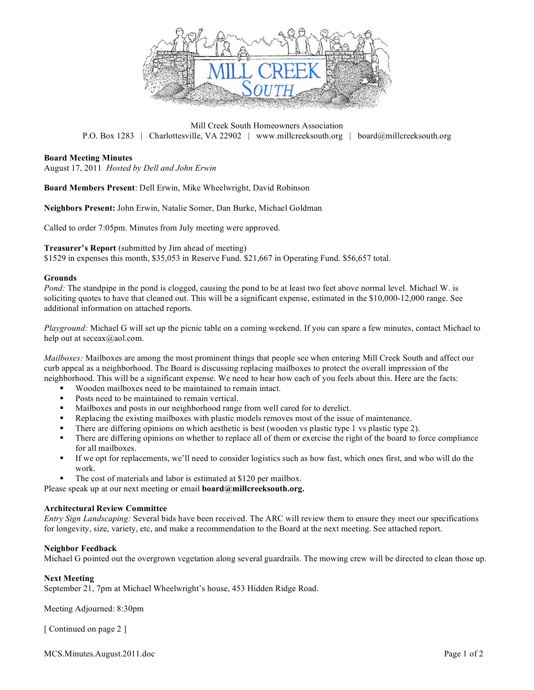

Mill Creek South Homeowners Association P.O. Box 1283 | Charlottesville, VA 22902 | www.millcreeksouth.org | board@millcreeksouth.org

## **Board Meeting Minutes**

August 17, 2011 *Hosted by Dell and John Erwin*

**Board Members Present**: Dell Erwin, Mike Wheelwright, David Robinson

**Neighbors Present:** John Erwin, Natalie Somer, Dan Burke, Michael Goldman

Called to order 7:05pm. Minutes from July meeting were approved.

**Treasurer's Report** (submitted by Jim ahead of meeting)

\$1529 in expenses this month, \$35,053 in Reserve Fund. \$21,667 in Operating Fund. \$56,657 total.

### **Grounds**

*Pond:* The standpipe in the pond is clogged, causing the pond to be at least two feet above normal level. Michael W. is soliciting quotes to have that cleaned out. This will be a significant expense, estimated in the \$10,000-12,000 range. See additional information on attached reports.

*Playground:* Michael G will set up the picnic table on a coming weekend. If you can spare a few minutes, contact Michael to help out at seceax@aol.com.

*Mailboxes:* Mailboxes are among the most prominent things that people see when entering Mill Creek South and affect our curb appeal as a neighborhood. The Board is discussing replacing mailboxes to protect the overall impression of the neighborhood. This will be a significant expense. We need to hear how each of you feels about this. Here are the facts:

- Wooden mailboxes need to be maintained to remain intact.
- Posts need to be maintained to remain vertical.
- Mailboxes and posts in our neighborhood range from well cared for to derelict.
- Replacing the existing mailboxes with plastic models removes most of the issue of maintenance.
- There are differing opinions on which aesthetic is best (wooden vs plastic type 1 vs plastic type 2).
- There are differing opinions on whether to replace all of them or exercise the right of the board to force compliance for all mailboxes.
- If we opt for replacements, we'll need to consider logistics such as how fast, which ones first, and who will do the work.
- The cost of materials and labor is estimated at \$120 per mailbox.

Please speak up at our next meeting or email **board@millcreeksouth.org.**

### **Architectural Review Committee**

*Entry Sign Landscaping:* Several bids have been received. The ARC will review them to ensure they meet our specifications for longevity, size, variety, etc, and make a recommendation to the Board at the next meeting. See attached report.

## **Neighbor Feedback**

Michael G pointed out the overgrown vegetation along several guardrails. The mowing crew will be directed to clean those up.

### **Next Meeting**

September 21, 7pm at Michael Wheelwright's house, 453 Hidden Ridge Road.

Meeting Adjourned: 8:30pm

[ Continued on page 2 ]

MCS.Minutes.August.2011.doc Page 1 of 2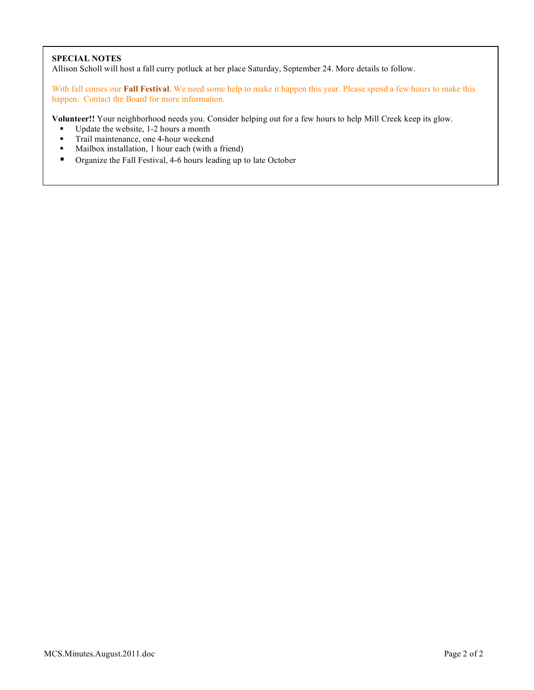## **SPECIAL NOTES**

Allison Scholl will host a fall curry potluck at her place Saturday, September 24. More details to follow.

With fall comes our **Fall Festival**. We need some help to make it happen this year. Please spend a few hours to make this happen. Contact the Board for more information.

**Volunteer!!** Your neighborhood needs you. Consider helping out for a few hours to help Mill Creek keep its glow.

- Update the website, 1-2 hours a month<br>■ Trail maintenance one 4-hour weekend
- Trail maintenance, one 4-hour weekend<br>Mailhox installation 1 hour each (with a
- Mailbox installation, 1 hour each (with a friend)
- Organize the Fall Festival, 4-6 hours leading up to late October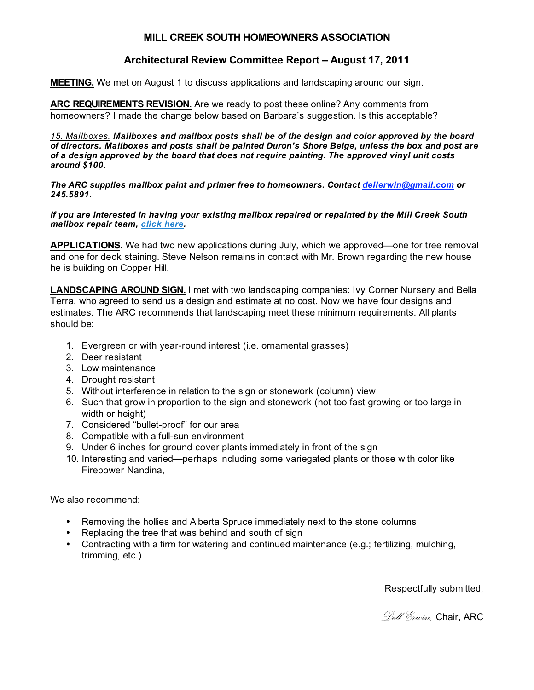## **MILL CREEK SOUTH HOMEOWNERS ASSOCIATION**

## **Architectural Review Committee Report – August 17, 2011**

**MEETING.** We met on August 1 to discuss applications and landscaping around our sign.

**ARC REQUIREMENTS REVISION.** Are we ready to post these online? Any comments from homeowners? I made the change below based on Barbara's suggestion. Is this acceptable?

*15. Mailboxes. Mailboxes and mailbox posts shall be of the design and color approved by the board of directors. Mailboxes and posts shall be painted Duron's Shore Beige, unless the box and post are of a design approved by the board that does not require painting. The approved vinyl unit costs around \$100.*

*The ARC supplies mailbox paint and primer free to homeowners. Contact dellerwin@gmail.com or 245.5891.*

*If you are interested in having your existing mailbox repaired or repainted by the Mill Creek South mailbox repair team, click here.* 

**APPLICATIONS.** We had two new applications during July, which we approved—one for tree removal and one for deck staining. Steve Nelson remains in contact with Mr. Brown regarding the new house he is building on Copper Hill.

**LANDSCAPING AROUND SIGN.** I met with two landscaping companies: Ivy Corner Nursery and Bella Terra, who agreed to send us a design and estimate at no cost. Now we have four designs and estimates. The ARC recommends that landscaping meet these minimum requirements. All plants should be:

- 1. Evergreen or with year-round interest (i.e. ornamental grasses)
- 2. Deer resistant
- 3. Low maintenance
- 4. Drought resistant
- 5. Without interference in relation to the sign or stonework (column) view
- 6. Such that grow in proportion to the sign and stonework (not too fast growing or too large in width or height)
- 7. Considered "bullet-proof" for our area
- 8. Compatible with a full-sun environment
- 9. Under 6 inches for ground cover plants immediately in front of the sign
- 10. Interesting and varied—perhaps including some variegated plants or those with color like Firepower Nandina,

We also recommend:

- Removing the hollies and Alberta Spruce immediately next to the stone columns
- Replacing the tree that was behind and south of sign
- Contracting with a firm for watering and continued maintenance (e.g.; fertilizing, mulching, trimming, etc.)

Respectfully submitted,

*Dell Erwin,* Chair, ARC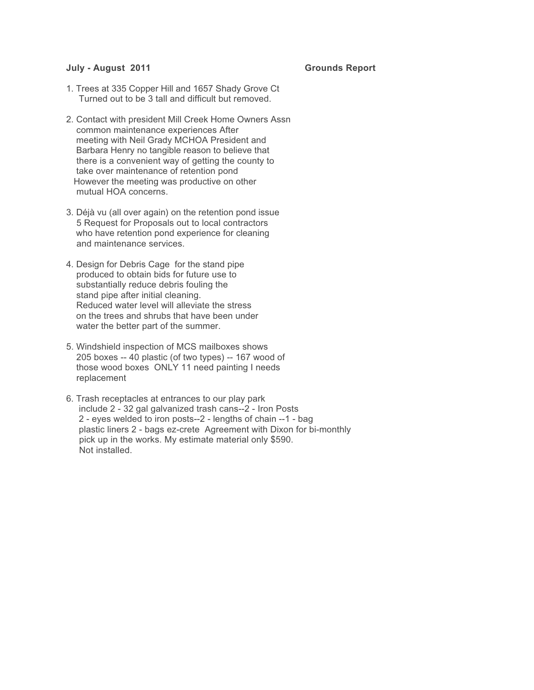## **July - August 2011** Grounds Report

- 1. Trees at 335 Copper Hill and 1657 Shady Grove Ct Turned out to be 3 tall and difficult but removed.
- 2. Contact with president Mill Creek Home Owners Assn common maintenance experiences After meeting with Neil Grady MCHOA President and Barbara Henry no tangible reason to believe that there is a convenient way of getting the county to take over maintenance of retention pond However the meeting was productive on other mutual HOA concerns.
- 3. Déjà vu (all over again) on the retention pond issue 5 Request for Proposals out to local contractors who have retention pond experience for cleaning and maintenance services.
- 4. Design for Debris Cage for the stand pipe produced to obtain bids for future use to substantially reduce debris fouling the stand pipe after initial cleaning. Reduced water level will alleviate the stress on the trees and shrubs that have been under water the better part of the summer.
- 5. Windshield inspection of MCS mailboxes shows 205 boxes -- 40 plastic (of two types) -- 167 wood of those wood boxes ONLY 11 need painting I needs replacement
- 6. Trash receptacles at entrances to our play park include 2 - 32 gal galvanized trash cans--2 - Iron Posts 2 - eyes welded to iron posts--2 - lengths of chain --1 - bag plastic liners 2 - bags ez-crete Agreement with Dixon for bi-monthly pick up in the works. My estimate material only \$590. Not installed.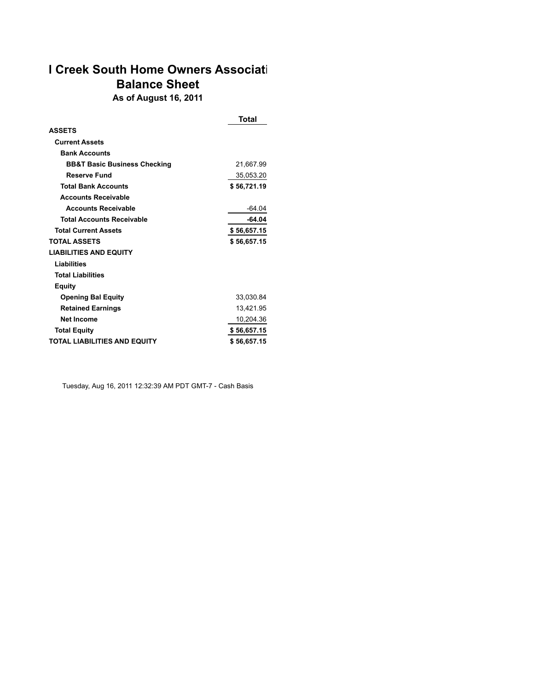# **I Creek South Home Owners Associati Balance Sheet As of August 16, 2011**

|                                         | Total       |
|-----------------------------------------|-------------|
| <b>ASSETS</b>                           |             |
| <b>Current Assets</b>                   |             |
| <b>Bank Accounts</b>                    |             |
| <b>BB&amp;T Basic Business Checking</b> | 21,667.99   |
| Reserve Fund                            | 35,053.20   |
| <b>Total Bank Accounts</b>              | \$56,721.19 |
| <b>Accounts Receivable</b>              |             |
| <b>Accounts Receivable</b>              | $-64.04$    |
| <b>Total Accounts Receivable</b>        | -64.04      |
| <b>Total Current Assets</b>             | \$56,657.15 |
| <b>TOTAL ASSETS</b>                     | \$56,657.15 |
| <b>LIABILITIES AND EQUITY</b>           |             |
| Liabilities                             |             |
| <b>Total Liabilities</b>                |             |
| Equity                                  |             |
| <b>Opening Bal Equity</b>               | 33,030.84   |
| <b>Retained Earnings</b>                | 13,421.95   |
| <b>Net Income</b>                       | 10,204.36   |
| <b>Total Equity</b>                     | \$56,657.15 |
| <b>TOTAL LIABILITIES AND EQUITY</b>     | \$56,657.15 |

Tuesday, Aug 16, 2011 12:32:39 AM PDT GMT-7 - Cash Basis